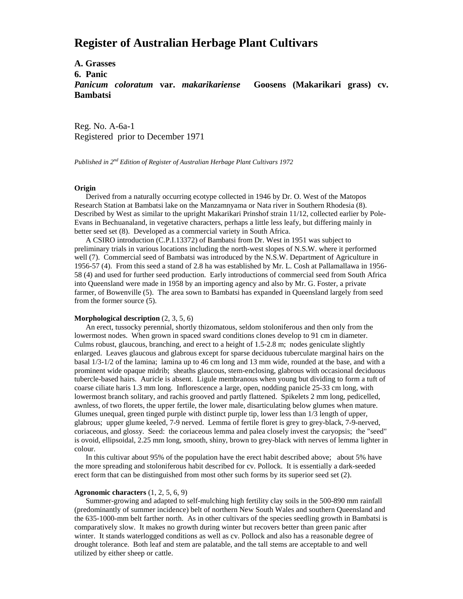# **Register of Australian Herbage Plant Cultivars**

**A. Grasses 6. Panic** *Panicum coloratum* **var.** *makarikariense* **Goosens (Makarikari grass) cv. Bambatsi**

Reg. No. A-6a-1 Registered prior to December 1971

*Published in 2nd Edition of Register of Australian Herbage Plant Cultivars 1972*

### **Origin**

 Derived from a naturally occurring ecotype collected in 1946 by Dr. O. West of the Matopos Research Station at Bambatsi lake on the Manzamnyama or Nata river in Southern Rhodesia (8). Described by West as similar to the upright Makarikari Prinshof strain 11/12, collected earlier by Pole-Evans in Bechuanaland, in vegetative characters, perhaps a little less leafy, but differing mainly in better seed set (8). Developed as a commercial variety in South Africa.

 A CSIRO introduction (C.P.I.13372) of Bambatsi from Dr. West in 1951 was subject to preliminary trials in various locations including the north-west slopes of N.S.W. where it performed well (7). Commercial seed of Bambatsi was introduced by the N.S.W. Department of Agriculture in 1956-57 (4). From this seed a stand of 2.8 ha was established by Mr. L. Cosh at Pallamallawa in 1956- 58 (4) and used for further seed production. Early introductions of commercial seed from South Africa into Queensland were made in 1958 by an importing agency and also by Mr. G. Foster, a private farmer, of Bowenville (5). The area sown to Bambatsi has expanded in Queensland largely from seed from the former source (5).

#### **Morphological description** (2, 3, 5, 6)

 An erect, tussocky perennial, shortly thizomatous, seldom stoloniferous and then only from the lowermost nodes. When grown in spaced sward conditions clones develop to 91 cm in diameter. Culms robust, glaucous, branching, and erect to a height of 1.5-2.8 m; nodes geniculate slightly enlarged. Leaves glaucous and glabrous except for sparse deciduous tuberculate marginal hairs on the basal 1/3-1/2 of the lamina; lamina up to 46 cm long and 13 mm wide, rounded at the base, and with a prominent wide opaque midrib; sheaths glaucous, stem-enclosing, glabrous with occasional deciduous tubercle-based hairs. Auricle is absent. Ligule membranous when young but dividing to form a tuft of coarse ciliate haris 1.3 mm long. Inflorescence a large, open, nodding panicle 25-33 cm long, with lowermost branch solitary, and rachis grooved and partly flattened. Spikelets 2 mm long, pedicelled, awnless, of two florets, the upper fertile, the lower male, disarticulating below glumes when mature. Glumes unequal, green tinged purple with distinct purple tip, lower less than 1/3 length of upper, glabrous; upper glume keeled, 7-9 nerved. Lemma of fertile floret is grey to grey-black, 7-9-nerved, coriaceous, and glossy. Seed: the coriaceous lemma and palea closely invest the caryopsis; the "seed" is ovoid, ellipsoidal, 2.25 mm long, smooth, shiny, brown to grey-black with nerves of lemma lighter in colour.

 In this cultivar about 95% of the population have the erect habit described above; about 5% have the more spreading and stoloniferous habit described for cv. Pollock. It is essentially a dark-seeded erect form that can be distinguished from most other such forms by its superior seed set (2).

#### **Agronomic characters** (1, 2, 5, 6, 9)

 Summer-growing and adapted to self-mulching high fertility clay soils in the 500-890 mm rainfall (predominantly of summer incidence) belt of northern New South Wales and southern Queensland and the 635-1000-mm belt farther north. As in other cultivars of the species seedling growth in Bambatsi is comparatively slow. It makes no growth during winter but recovers better than green panic after winter. It stands waterlogged conditions as well as cv. Pollock and also has a reasonable degree of drought tolerance. Both leaf and stem are palatable, and the tall stems are acceptable to and well utilized by either sheep or cattle.